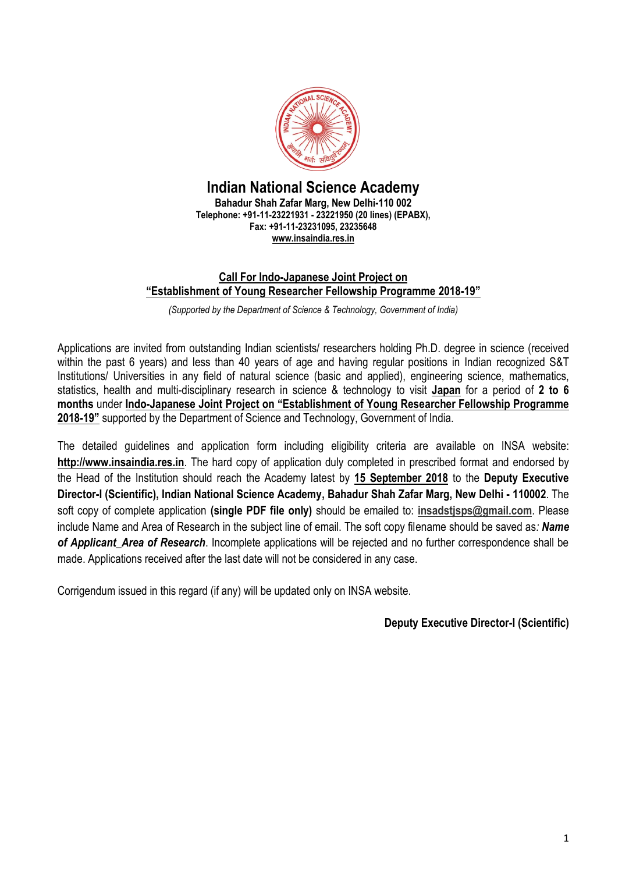

### **Indian National Science Academy Bahadur Shah Zafar Marg, New Delhi-110 002 Telephone: +91-11-23221931 - 23221950 (20 lines) (EPABX), Fax: +91-11-23231095, 23235648 [www.insaindia.res.in](http://www.insaindia.res.in/)**

### **Call For Indo-Japanese Joint Project on "Establishment of Young Researcher Fellowship Programme 2018-19"**

*(Supported by the Department of Science & Technology, Government of India)*

Applications are invited from outstanding Indian scientists/ researchers holding Ph.D. degree in science (received within the past 6 years) and less than 40 years of age and having regular positions in Indian recognized S&T Institutions/ Universities in any field of natural science (basic and applied), engineering science, mathematics, statistics, health and multi-disciplinary research in science & technology to visit **Japan** for a period of **2 to 6 months** under **Indo-Japanese Joint Project on "Establishment of Young Researcher Fellowship Programme 2018-19"** supported by the Department of Science and Technology, Government of India.

The detailed guidelines and application form including eligibility criteria are available on INSA website: **[http://www.insaindia.res.in](http://www.insaindia.res.in/)**. The hard copy of application duly completed in prescribed format and endorsed by the Head of the Institution should reach the Academy latest by **15 September 2018** to the **Deputy Executive Director-I (Scientific), Indian National Science Academy, Bahadur Shah Zafar Marg, New Delhi - 110002**. The soft copy of complete application **(single PDF file only)** should be emailed to: **[insadstjsps@gmail.com](mailto:insadstjsps@gmail.com)**. Please include Name and Area of Research in the subject line of email. The soft copy filename should be saved as*: Name of Applicant\_Area of Research*. Incomplete applications will be rejected and no further correspondence shall be made. Applications received after the last date will not be considered in any case.

Corrigendum issued in this regard (if any) will be updated only on INSA website.

**Deputy Executive Director-I (Scientific)**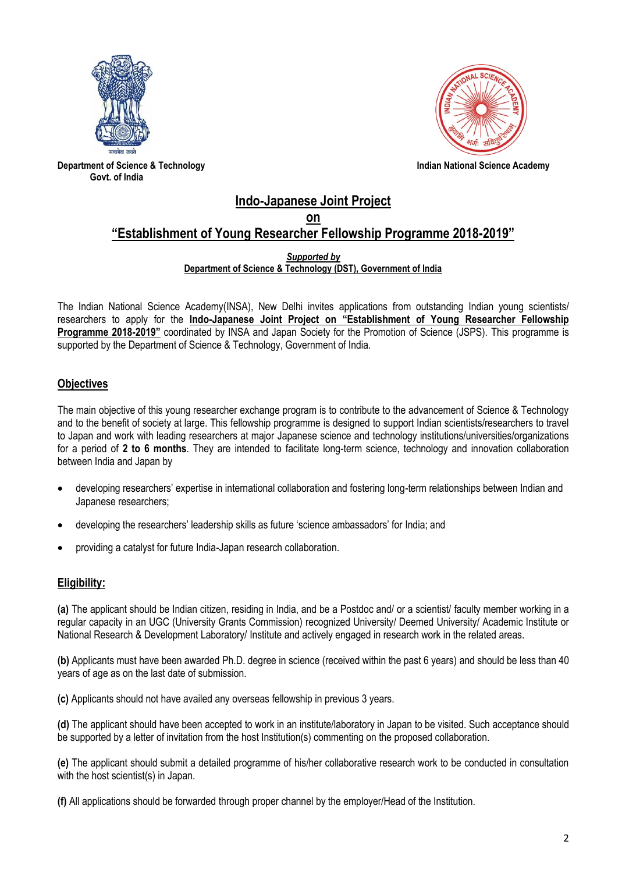



**Department of Science & Technology Indian National Science Academy Govt. of India**

### **Indo-Japanese Joint Project on "Establishment of Young Researcher Fellowship Programme 2018-2019"**

#### *Supported by* **Department of Science & Technology (DST), Government of India**

The Indian National Science Academy(INSA), New Delhi invites applications from outstanding Indian young scientists/ researchers to apply for the **Indo-Japanese Joint Project on "Establishment of Young Researcher Fellowship Programme 2018-2019"** coordinated by INSA and Japan Society for the Promotion of Science (JSPS). This programme is supported by the Department of Science & Technology, Government of India.

### **Objectives**

The main objective of this young researcher exchange program is to contribute to the advancement of Science & Technology and to the benefit of society at large. This fellowship programme is designed to support Indian scientists/researchers to travel to Japan and work with leading researchers at major Japanese science and technology institutions/universities/organizations for a period of **2 to 6 months**. They are intended to facilitate long-term science, technology and innovation collaboration between India and Japan by

- developing researchers' expertise in international collaboration and fostering long-term relationships between Indian and Japanese researchers;
- developing the researchers' leadership skills as future 'science ambassadors' for India; and
- providing a catalyst for future India-Japan research collaboration.

### **Eligibility:**

**(a)** The applicant should be Indian citizen, residing in India, and be a Postdoc and/ or a scientist/ faculty member working in a regular capacity in an UGC (University Grants Commission) recognized University/ Deemed University/ Academic Institute or National Research & Development Laboratory/ Institute and actively engaged in research work in the related areas.

**(b)** Applicants must have been awarded Ph.D. degree in science (received within the past 6 years) and should be less than 40 years of age as on the last date of submission.

**(c)** Applicants should not have availed any overseas fellowship in previous 3 years.

**(d)** The applicant should have been accepted to work in an institute/laboratory in Japan to be visited. Such acceptance should be supported by a letter of invitation from the host Institution(s) commenting on the proposed collaboration.

**(e)** The applicant should submit a detailed programme of his/her collaborative research work to be conducted in consultation with the host scientist(s) in Japan.

**(f)** All applications should be forwarded through proper channel by the employer/Head of the Institution.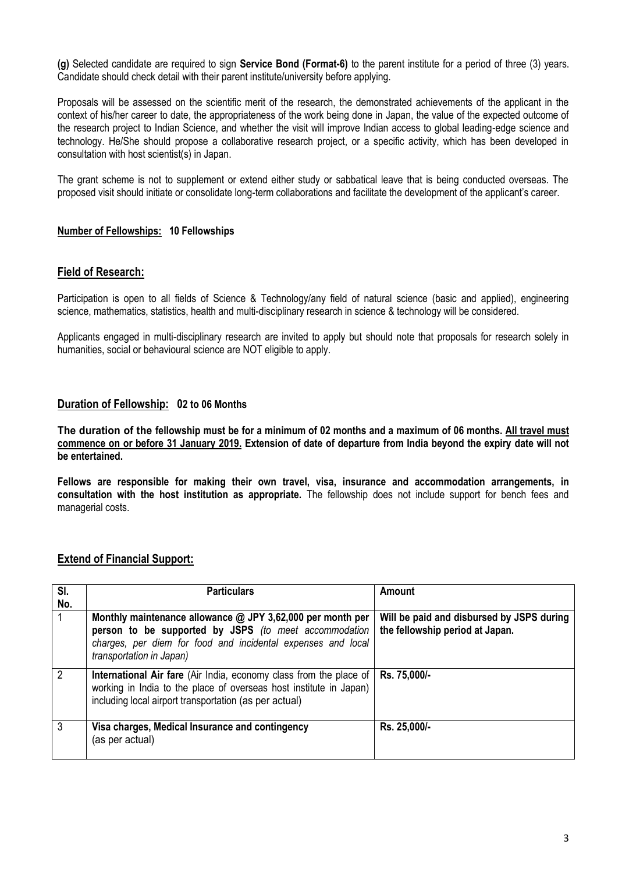**(g)** Selected candidate are required to sign **Service Bond (Format-6)** to the parent institute for a period of three (3) years. Candidate should check detail with their parent institute/university before applying.

Proposals will be assessed on the scientific merit of the research, the demonstrated achievements of the applicant in the context of his/her career to date, the appropriateness of the work being done in Japan, the value of the expected outcome of the research project to Indian Science, and whether the visit will improve Indian access to global leading-edge science and technology. He/She should propose a collaborative research project, or a specific activity, which has been developed in consultation with host scientist(s) in Japan.

The grant scheme is not to supplement or extend either study or sabbatical leave that is being conducted overseas. The proposed visit should initiate or consolidate long-term collaborations and facilitate the development of the applicant's career.

### **Number of Fellowships: 10 Fellowships**

### **Field of Research:**

Participation is open to all fields of Science & Technology/any field of natural science (basic and applied), engineering science, mathematics, statistics, health and multi-disciplinary research in science & technology will be considered.

Applicants engaged in multi-disciplinary research are invited to apply but should note that proposals for research solely in humanities, social or behavioural science are NOT eligible to apply.

### **Duration of Fellowship: 02 to 06 Months**

**The duration of the fellowship must be for a minimum of 02 months and a maximum of 06 months. All travel must commence on or before 31 January 2019. Extension of date of departure from India beyond the expiry date will not be entertained.** 

**Fellows are responsible for making their own travel, visa, insurance and accommodation arrangements, in consultation with the host institution as appropriate.** The fellowship does not include support for bench fees and managerial costs.

### **Extend of Financial Support:**

| SI.<br>No.    | <b>Particulars</b>                                                                                                                                                                                                | Amount                                                                       |
|---------------|-------------------------------------------------------------------------------------------------------------------------------------------------------------------------------------------------------------------|------------------------------------------------------------------------------|
| $\mathbf{1}$  | Monthly maintenance allowance $@$ JPY 3,62,000 per month per<br>person to be supported by JSPS (to meet accommodation<br>charges, per diem for food and incidental expenses and local<br>transportation in Japan) | Will be paid and disbursed by JSPS during<br>the fellowship period at Japan. |
| $^{\prime}$ 2 | International Air fare (Air India, economy class from the place of<br>working in India to the place of overseas host institute in Japan)<br>including local airport transportation (as per actual)                | Rs. 75,000/-                                                                 |
| -3            | Visa charges, Medical Insurance and contingency<br>(as per actual)                                                                                                                                                | Rs. 25,000/-                                                                 |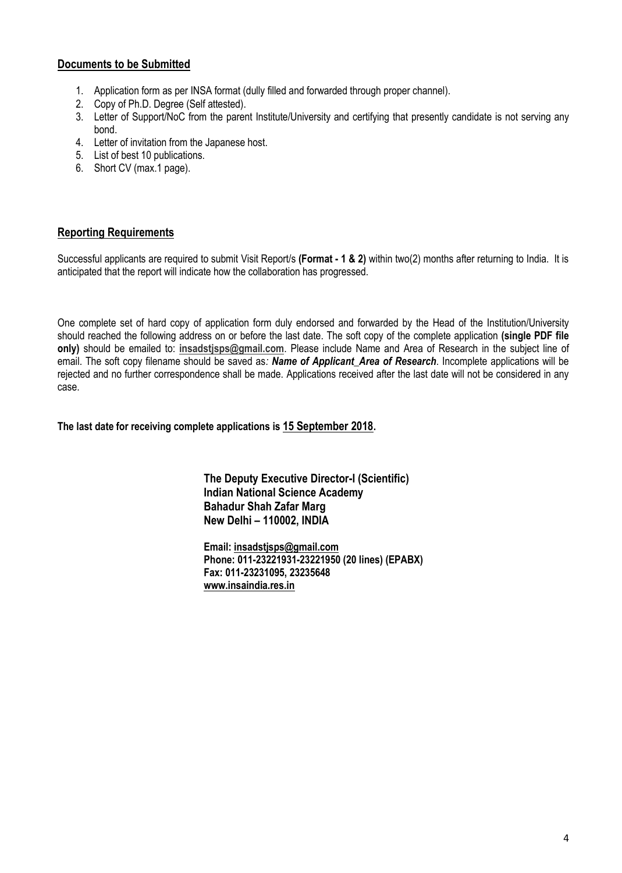### **Documents to be Submitted**

- 1. Application form as per INSA format (dully filled and forwarded through proper channel).
- 2. Copy of Ph.D. Degree (Self attested).
- 3. Letter of Support/NoC from the parent Institute/University and certifying that presently candidate is not serving any bond.
- 4. Letter of invitation from the Japanese host.
- 5. List of best 10 publications.
- 6. Short CV (max.1 page).

### **Reporting Requirements**

Successful applicants are required to submit Visit Report/s **(Format - 1 & 2)** within two(2) months after returning to India. It is anticipated that the report will indicate how the collaboration has progressed.

One complete set of hard copy of application form duly endorsed and forwarded by the Head of the Institution/University should reached the following address on or before the last date. The soft copy of the complete application **(single PDF file only)** should be emailed to: **[insadstjsps@gmail.com](mailto:insadstjsps@gmail.com)**. Please include Name and Area of Research in the subject line of email. The soft copy filename should be saved as*: Name of Applicant\_Area of Research*. Incomplete applications will be rejected and no further correspondence shall be made. Applications received after the last date will not be considered in any case.

**The last date for receiving complete applications is 15 September 2018.**

**The Deputy Executive Director-I (Scientific) Indian National Science Academy Bahadur Shah Zafar Marg New Delhi – 110002, INDIA**

**Email: [insadstjsps@gmail.com](mailto:insadstjsps@gmail.com) Phone: 011-23221931-23221950 (20 lines) (EPABX) Fax: 011-23231095, 23235648 [www.insaindia.res.in](http://www.insaindia.res.in/)**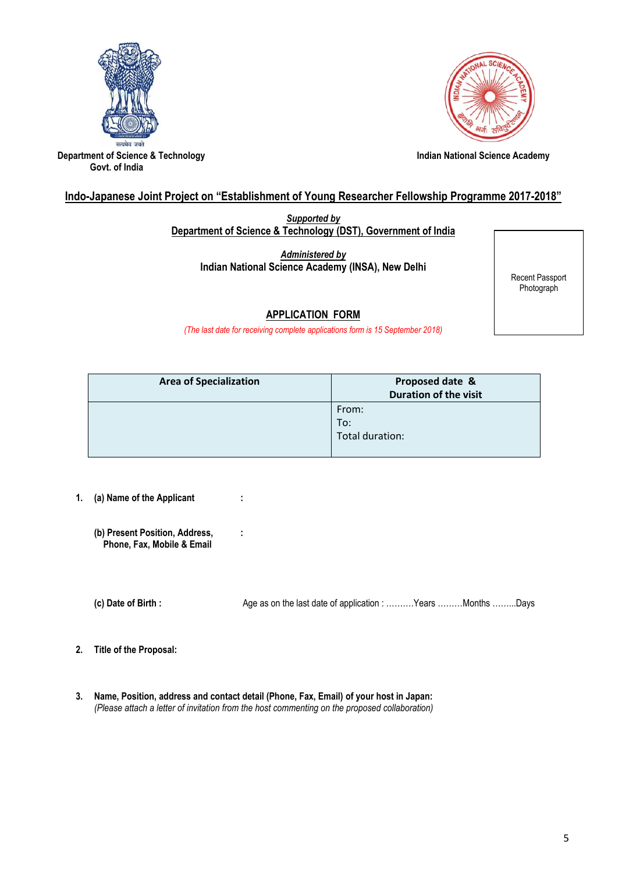



**Department of Science & Technology Constrained Academy indian National Science Academy Govt. of India**

### **Indo-Japanese Joint Project on "Establishment of Young Researcher Fellowship Programme 2017-2018"**

*Supported by* **Department of Science & Technology (DST), Government of India**

*Administered by* **Indian National Science Academy (INSA), New Delhi**

Recent Passport Photograph

### **APPLICATION FORM**

*(The last date for receiving complete applications form is 15 September 2018)*

| <b>Area of Specialization</b> | Proposed date &<br><b>Duration of the visit</b> |
|-------------------------------|-------------------------------------------------|
|                               | From:<br>To:<br>Total duration:                 |
|                               |                                                 |

- **1. (a) Name of the Applicant : (b) Present Position, Address, : Phone, Fax, Mobile & Email (c) Date of Birth :** Age as on the last date of application : ……….Years ………Months ……...Days
- **2. Title of the Proposal:**
- **3. Name, Position, address and contact detail (Phone, Fax, Email) of your host in Japan:**  *(Please attach a letter of invitation from the host commenting on the proposed collaboration)*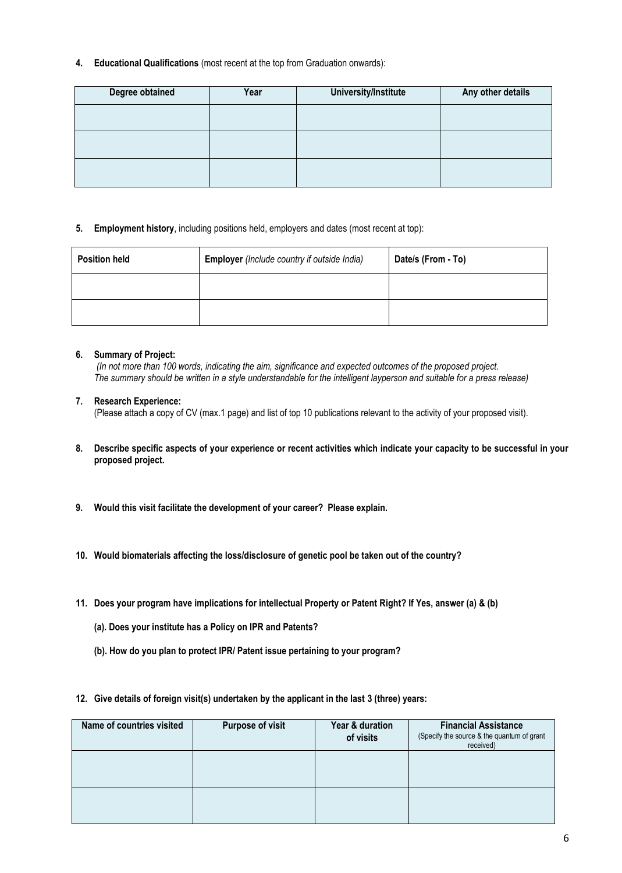**4. Educational Qualifications** (most recent at the top from Graduation onwards):

| Degree obtained<br>Year |  | University/Institute | Any other details |  |  |
|-------------------------|--|----------------------|-------------------|--|--|
|                         |  |                      |                   |  |  |
|                         |  |                      |                   |  |  |
|                         |  |                      |                   |  |  |

#### **5. Employment history**, including positions held, employers and dates (most recent at top):

| <b>Employer</b> (Include country if outside India)<br><b>Position held</b> |  | Date/s (From - To) |  |  |
|----------------------------------------------------------------------------|--|--------------------|--|--|
|                                                                            |  |                    |  |  |
|                                                                            |  |                    |  |  |

#### **6. Summary of Project:**

*(In not more than 100 words, indicating the aim, significance and expected outcomes of the proposed project. The summary should be written in a style understandable for the intelligent layperson and suitable for a press release)*

#### **7. Research Experience:**

(Please attach a copy of CV (max.1 page) and list of top 10 publications relevant to the activity of your proposed visit).

- **8. Describe specific aspects of your experience or recent activities which indicate your capacity to be successful in your proposed project.**
- **9. Would this visit facilitate the development of your career? Please explain.**
- **10. Would biomaterials affecting the loss/disclosure of genetic pool be taken out of the country?**
- **11. Does your program have implications for intellectual Property or Patent Right? If Yes, answer (a) & (b)**
	- **(a). Does your institute has a Policy on IPR and Patents?**
	- **(b). How do you plan to protect IPR/ Patent issue pertaining to your program?**
- **12. Give details of foreign visit(s) undertaken by the applicant in the last 3 (three) years:**

| Name of countries visited | <b>Purpose of visit</b> | Year & duration<br>of visits | <b>Financial Assistance</b><br>(Specify the source & the quantum of grant<br>received) |
|---------------------------|-------------------------|------------------------------|----------------------------------------------------------------------------------------|
|                           |                         |                              |                                                                                        |
|                           |                         |                              |                                                                                        |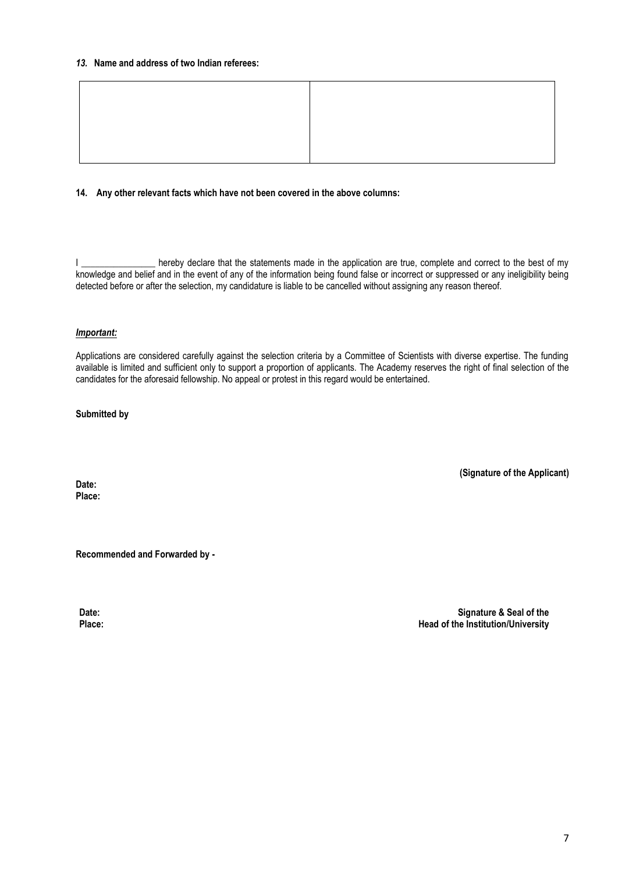#### *13.* **Name and address of two Indian referees:**

#### **14. Any other relevant facts which have not been covered in the above columns:**

I \_\_\_\_\_\_\_\_\_\_\_\_\_\_\_\_\_ hereby declare that the statements made in the application are true, complete and correct to the best of my knowledge and belief and in the event of any of the information being found false or incorrect or suppressed or any ineligibility being detected before or after the selection, my candidature is liable to be cancelled without assigning any reason thereof.

#### *Important:*

Applications are considered carefully against the selection criteria by a Committee of Scientists with diverse expertise. The funding available is limited and sufficient only to support a proportion of applicants. The Academy reserves the right of final selection of the candidates for the aforesaid fellowship. No appeal or protest in this regard would be entertained.

#### **Submitted by**

**Date: Place:** **(Signature of the Applicant)**

**Recommended and Forwarded by -**

**Date: Place:**

 **Signature & Seal of the Head of the Institution/University**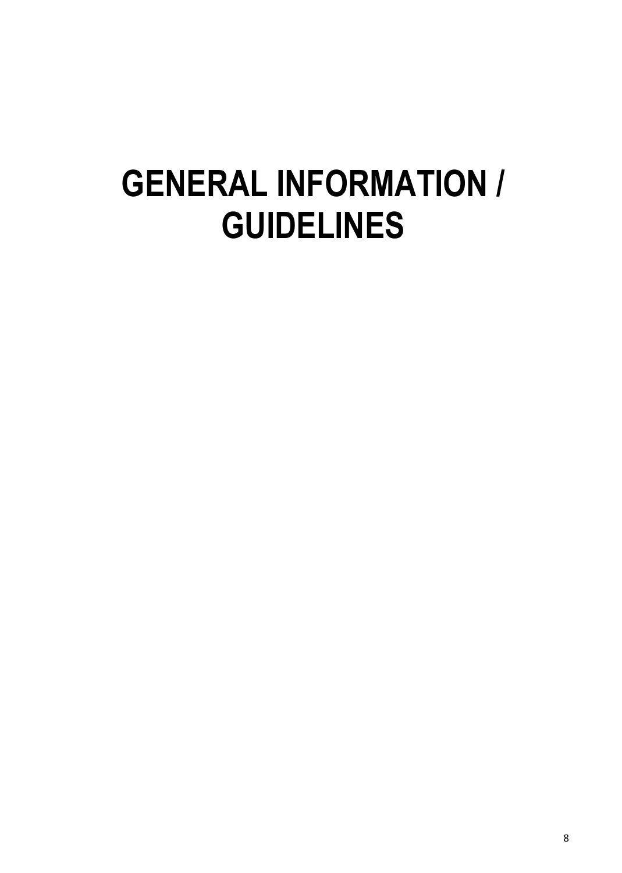# **GENERAL INFORMATION / GUIDELINES**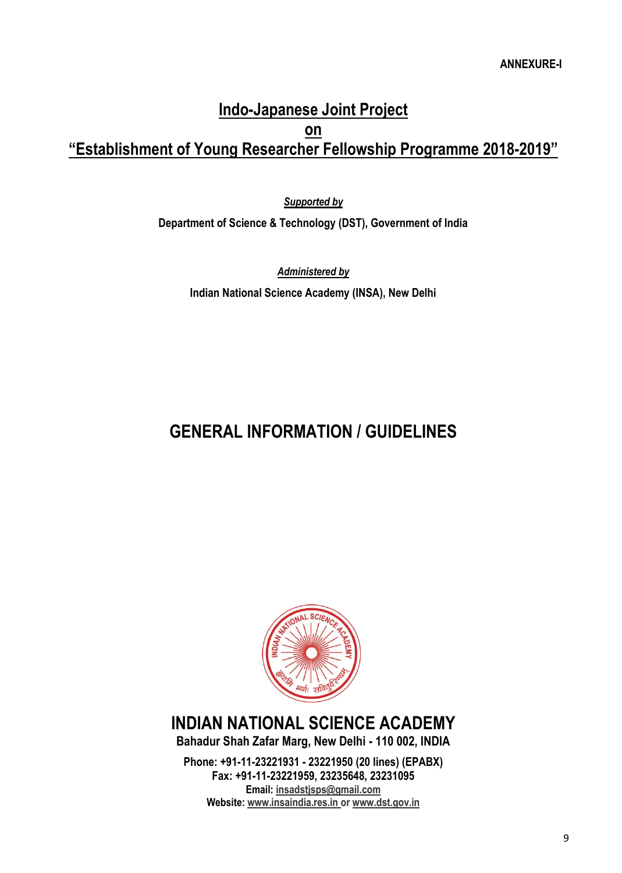### **Indo-Japanese Joint Project on "Establishment of Young Researcher Fellowship Programme 2018-2019"**

*Supported by* **Department of Science & Technology (DST), Government of India**

*Administered by* **Indian National Science Academy (INSA), New Delhi**

## **GENERAL INFORMATION / GUIDELINES**



# **INDIAN NATIONAL SCIENCE ACADEMY**

**Bahadur Shah Zafar Marg, New Delhi - 110 002, INDIA**

**Phone: +91-11-23221931 - 23221950 (20 lines) (EPABX) Fax: +91-11-23221959, 23235648, 23231095 Email[: insadstjsps@gmail.com](mailto:insadstjsps@gmail.com) Website[: www.insaindia.res.in](http://www.insaindia.res.in/) or [www.dst.gov.in](http://www.dst.gov.in/)**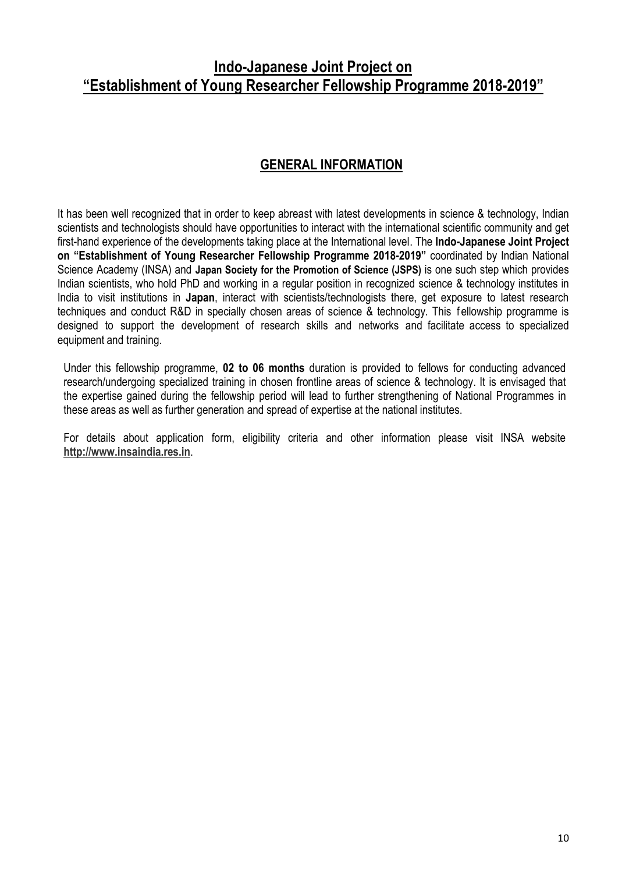### **Indo-Japanese Joint Project on "Establishment of Young Researcher Fellowship Programme 2018-2019"**

### **GENERAL INFORMATION**

It has been well recognized that in order to keep abreast with latest developments in science & technology, Indian scientists and technologists should have opportunities to interact with the international scientific community and get first-hand experience of the developments taking place at the International level. The **Indo-Japanese Joint Project on "Establishment of Young Researcher Fellowship Programme 2018-2019"** coordinated by Indian National Science Academy (INSA) and **Japan Society for the Promotion of Science (JSPS)** is one such step which provides Indian scientists, who hold PhD and working in a regular position in recognized science & technology institutes in India to visit institutions in **Japan**, interact with scientists/technologists there, get exposure to latest research techniques and conduct R&D in specially chosen areas of science & technology. This fellowship programme is designed to support the development of research skills and networks and facilitate access to specialized equipment and training.

Under this fellowship programme, **02 to 06 months** duration is provided to fellows for conducting advanced research/undergoing specialized training in chosen frontline areas of science & technology. It is envisaged that the expertise gained during the fellowship period will lead to further strengthening of National Programmes in these areas as well as further generation and spread of expertise at the national institutes.

For details about application form, eligibility criteria and other information please visit INSA website **[http://www.insaindia.res.in](http://www.insaindia.res.in/)**.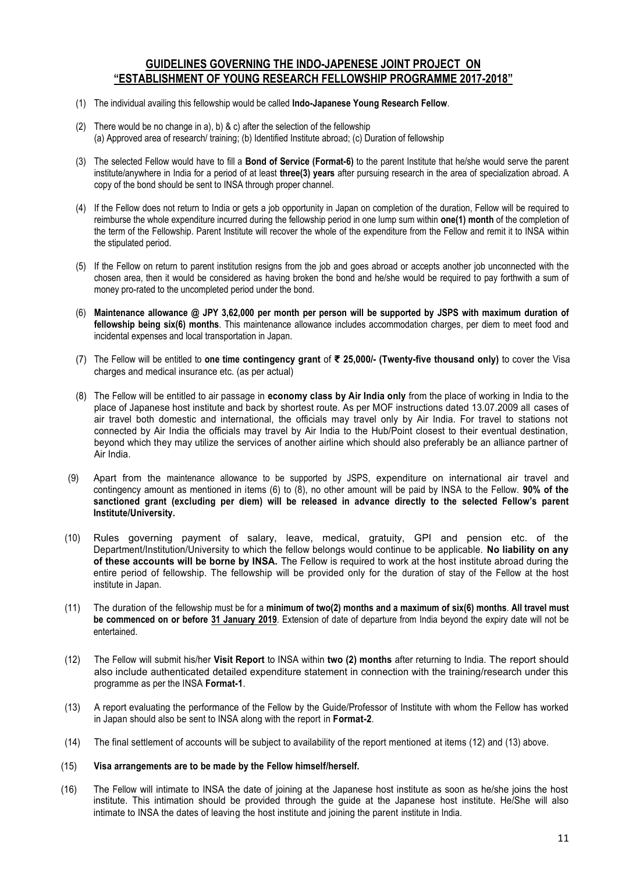### **GUIDELINES GOVERNING THE INDO-JAPENESE JOINT PROJECT ON "ESTABLISHMENT OF YOUNG RESEARCH FELLOWSHIP PROGRAMME 2017-2018"**

- (1) The individual availing this fellowship would be called **Indo-Japanese Young Research Fellow**.
- (2) There would be no change in a), b) & c) after the selection of the fellowship (a) Approved area of research/ training; (b) Identified Institute abroad; (c) Duration of fellowship
- (3) The selected Fellow would have to fill a **Bond of Service (Format-6)** to the parent Institute that he/she would serve the parent institute/anywhere in India for a period of at least **three(3) years** after pursuing research in the area of specialization abroad. A copy of the bond should be sent to INSA through proper channel.
- (4) If the Fellow does not return to India or gets a job opportunity in Japan on completion of the duration, Fellow will be required to reimburse the whole expenditure incurred during the fellowship period in one lump sum within **one(1) month** of the completion of the term of the Fellowship. Parent Institute will recover the whole of the expenditure from the Fellow and remit it to INSA within the stipulated period.
- (5) If the Fellow on return to parent institution resigns from the job and goes abroad or accepts another job unconnected with the chosen area, then it would be considered as having broken the bond and he/she would be required to pay forthwith a sum of money pro-rated to the uncompleted period under the bond.
- (6) **Maintenance allowance @ JPY 3,62,000 per month per person will be supported by JSPS with maximum duration of fellowship being six(6) months**. This maintenance allowance includes accommodation charges, per diem to meet food and incidental expenses and local transportation in Japan.
- (7) The Fellow will be entitled to **one time contingency grant** of **₹ 25,000/- (Twenty-five thousand only)** to cover the Visa charges and medical insurance etc. (as per actual)
- (8) The Fellow will be entitled to air passage in **economy class by Air India only** from the place of working in India to the place of Japanese host institute and back by shortest route. As per MOF instructions dated 13.07.2009 all cases of air travel both domestic and international, the officials may travel only by Air India. For travel to stations not connected by Air India the officials may travel by Air India to the Hub/Point closest to their eventual destination, beyond which they may utilize the services of another airline which should also preferably be an alliance partner of Air India.
- (9) Apart from the maintenance allowance to be supported by JSPS, expenditure on international air travel and contingency amount as mentioned in items (6) to (8), no other amount will be paid by INSA to the Fellow. **90% of the sanctioned grant (excluding per diem) will be released in advance directly to the selected Fellow's parent Institute/University.**
- (10) Rules governing payment of salary, leave, medical, gratuity, GPI and pension etc. of the Department/Institution/University to which the fellow belongs would continue to be applicable. **No liability on any of these accounts will be borne by INSA.** The Fellow is required to work at the host institute abroad during the entire period of fellowship. The fellowship will be provided only for the duration of stay of the Fellow at the host institute in Japan.
- (11) The duration of the fellowship must be for a **minimum of two(2) months and a maximum of six(6) months**. **All travel must be commenced on or before 31 January 2019**. Extension of date of departure from India beyond the expiry date will not be entertained.
- (12) The Fellow will submit his/her **Visit Report** to INSA within **two (2) months** after returning to India. The report should also include authenticated detailed expenditure statement in connection with the training/research under this programme as per the INSA **Format-1**.
- (13) A report evaluating the performance of the Fellow by the Guide/Professor of Institute with whom the Fellow has worked in Japan should also be sent to INSA along with the report in **Format-2**.
- (14) The final settlement of accounts will be subject to availability of the report mentioned at items (12) and (13) above.

#### (15) **Visa arrangements are to be made by the Fellow himself/herself.**

(16) The Fellow will intimate to INSA the date of joining at the Japanese host institute as soon as he/she joins the host institute. This intimation should be provided through the guide at the Japanese host institute. He/She will also intimate to INSA the dates of leaving the host institute and joining the parent institute in India.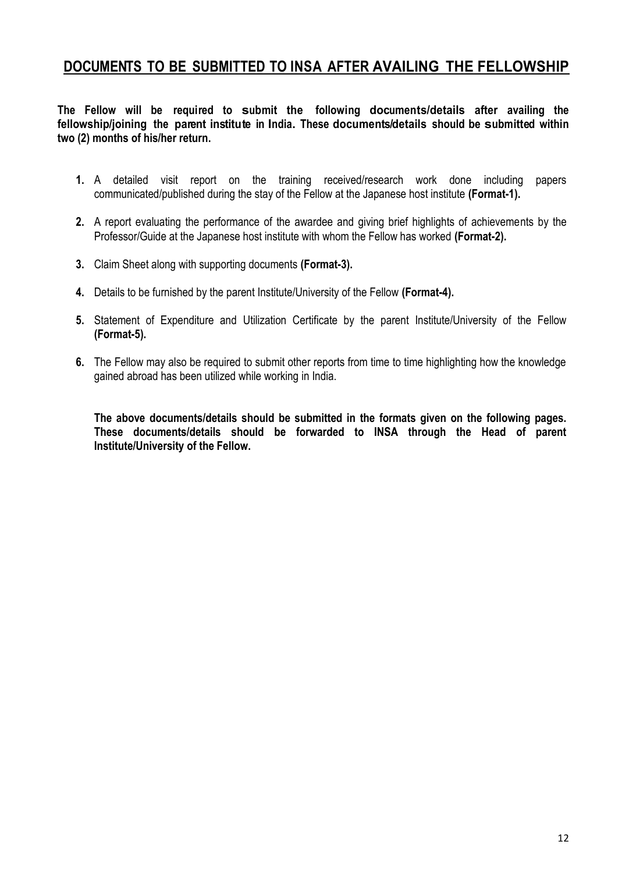### **DOCUMENTS TO BE SUBMITTED TO INSA AFTER AVAILING THE FELLOWSHIP**

**The Fellow will be required to submit the following documents/details after availing the fellowship/joining the parent institute in India. These documents/details should be submitted within two (2) months of his/her return.**

- **1.** A detailed visit report on the training received/research work done including papers communicated/published during the stay of the Fellow at the Japanese host institute **(Format-1).**
- **2.** A report evaluating the performance of the awardee and giving brief highlights of achievements by the Professor/Guide at the Japanese host institute with whom the Fellow has worked **(Format-2).**
- **3.** Claim Sheet along with supporting documents **(Format-3).**
- **4.** Details to be furnished by the parent Institute/University of the Fellow **(Format-4).**
- **5.** Statement of Expenditure and Utilization Certificate by the parent Institute/University of the Fellow **(Format-5).**
- **6.** The Fellow may also be required to submit other reports from time to time highlighting how the knowledge gained abroad has been utilized while working in India.

**The above documents/details should be submitted in the formats given on the following pages. These documents/details should be forwarded to INSA through the Head of parent Institute/University of the Fellow.**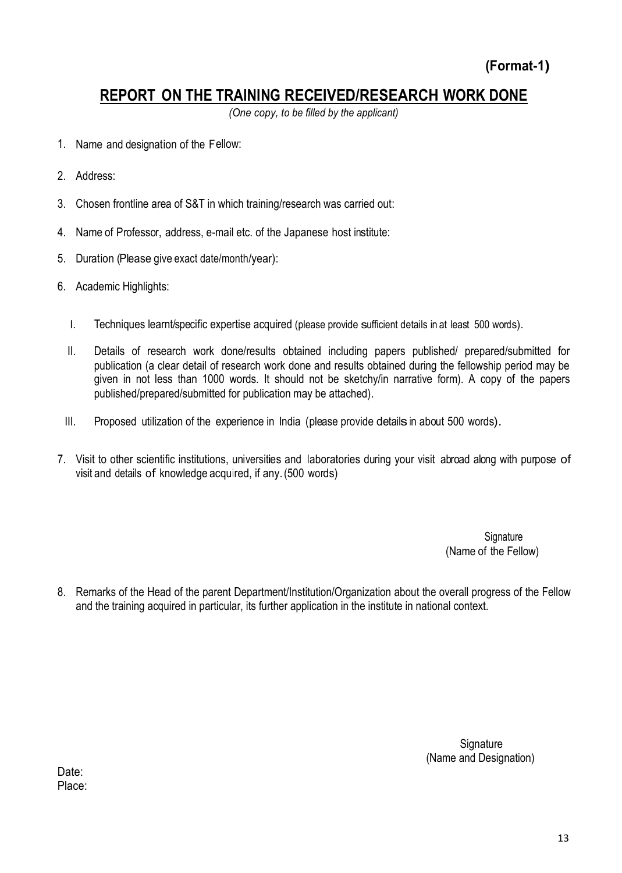### **REPORT ON THE TRAINING RECEIVED/RESEARCH WORK DONE**

*(One copy, to be filled by the applicant)*

- 1. Name and designation of the Fellow:
- 2. Address:
- 3. Chosen frontline area of S&T in which training/research was carried out:
- 4. Name of Professor, address, e-mail etc. of the Japanese host institute:
- 5. Duration (Please give exact date/month/year):
- 6. Academic Highlights:
	- I. Techniques learnt/specific expertise acquired (please provide sufficient details in at least 500 words).
	- II. Details of research work done/results obtained including papers published/ prepared/submitted for publication (a clear detail of research work done and results obtained during the fellowship period may be given in not less than 1000 words. It should not be sketchy/in narrative form). A copy of the papers published/prepared/submitted for publication may be attached).
	- III. Proposed utilization of the experience in India (please provide details in about 500 words).
- 7. Visit to other scientific institutions, universities and laboratories during your visit abroad along with purpose of visit and details of knowledge acquired, if any.(500 words)

e de la construction de la construction de la construction de la construction de la construction de la construction de la construction de la construction de la construction de la construction de la construction de la const (Name of the Fellow)

8. Remarks of the Head of the parent Department/Institution/Organization about the overall progress of the Fellow and the training acquired in particular, its further application in the institute in national context.

Signature in the contract of the contract of the contract of the Signature of the Signature (Name and Designation)

Date: Place: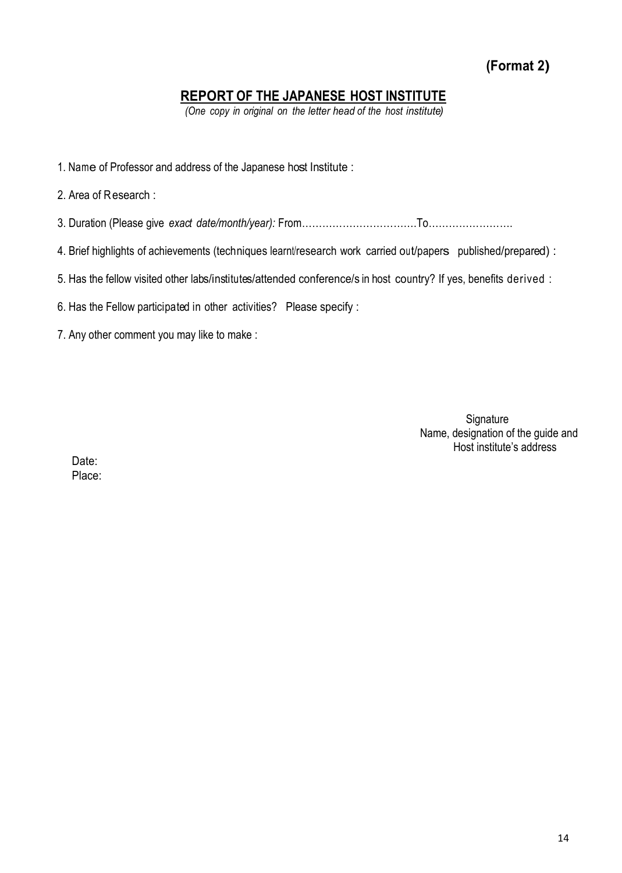**(Format 2)**

### **REPORT OF THE JAPANESE HOST INSTITUTE**

*(One copy in original on the letter head of the host institute)*

- 1. Name of Professor and address of the Japanese host Institute :
- 2. Area of Research :
- 3. Duration (Please give *exact date/month/year):* From…………………………….To…………………….
- 4. Brief highlights of achievements (techniques learnt/research work carried out/papers published/prepared) :
- 5. Has the fellow visited other labs/institutes/attended conference/s in host country? If yes, benefits derived :
- 6. Has the Fellow participated in other activities? Please specify :
- 7. Any other comment you may like to make :

**Signature** Name, designation of the guide and Host institute's address

Date: Place: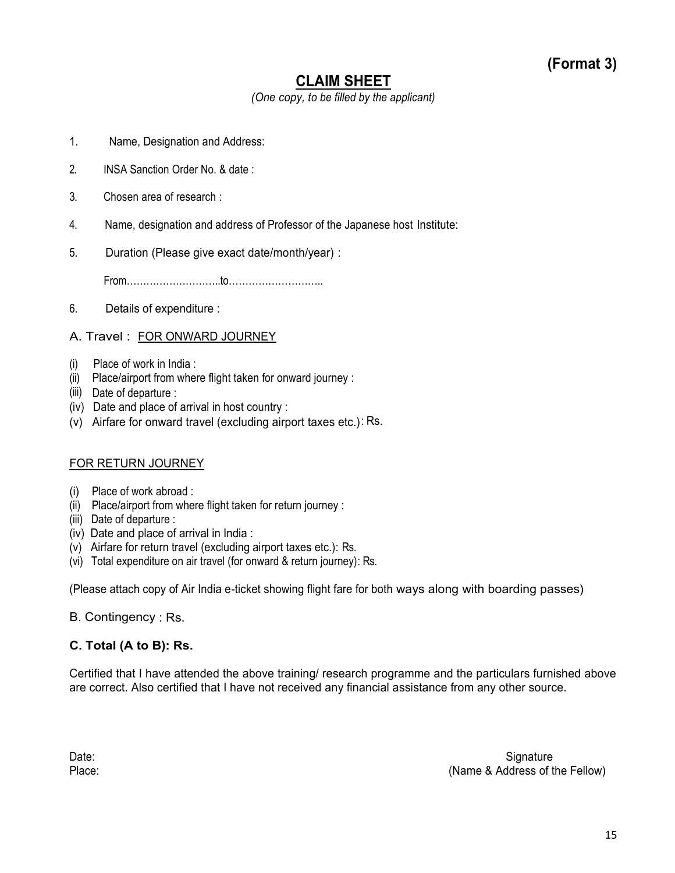### **CLAIM SHEET**

*(One copy, to be filled by the applicant)*

- 1. Name, Designation and Address:
- 2. INSA Sanction Order No. & date :
- 3. Chosen area of research :
- 4. Name, designation and address of Professor of the Japanese host Institute:
- 5. Duration (Please give exact date/month/year) :

From………………………..to………………………..

6. Details of expenditure :

### A. Travel : FOR ONWARD JOURNEY

- (i) Place of work in India :
- (ii) Place/airport from where flight taken for onward journey :
- (iii) Date of departure :
- (iv) Date and place of arrival in host country :
- (v) Airfare for onward travel (excluding airport taxes etc.): Rs.

### FOR RETURN JOURNEY

- (i) Place of work abroad :
- (ii) Place/airport from where flight taken for return journey :
- (iii) Date of departure :
- (iv) Date and place of arrival in India :
- (v) Airfare for return travel (excluding airport taxes etc.): Rs.
- (vi) Total expenditure on air travel (for onward & return journey): Rs.

(Please attach copy of Air India e-ticket showing flight fare for both ways along with boarding passes)

### B. Contingency : Rs.

### **C. Total (A to B): Rs.**

Certified that I have attended the above training/ research programme and the particulars furnished above are correct. Also certified that I have not received any financial assistance from any other source.

Date: Signature Contract Contract Contract Contract Contract Contract Contract Contract Contract Contract Contract Contract Contract Contract Contract Contract Contract Contract Contract Contract Contract Contract Contract Place: (Name & Address of the Fellow)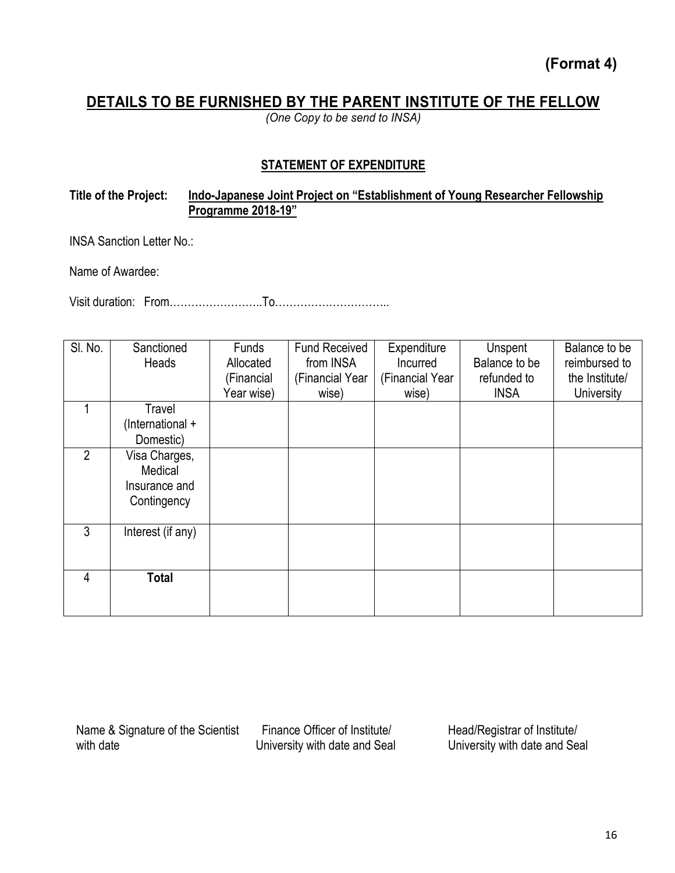**(Format 4)** 

### **DETAILS TO BE FURNISHED BY THE PARENT INSTITUTE OF THE FELLOW**

*(One Copy to be send to INSA)*

### **STATEMENT OF EXPENDITURE**

### **Title of the Project: Indo-Japanese Joint Project on "Establishment of Young Researcher Fellowship Programme 2018-19"**

INSA Sanction Letter No.:

Name of Awardee:

Visit duration: From……………………..To…………………………..

| SI. No.        | Sanctioned<br>Heads                                      | Funds<br>Allocated<br>(Financial | <b>Fund Received</b><br>from INSA<br>(Financial Year | Expenditure<br>Incurred<br>(Financial Year | Unspent<br>Balance to be<br>refunded to | Balance to be<br>reimbursed to<br>the Institute/ |
|----------------|----------------------------------------------------------|----------------------------------|------------------------------------------------------|--------------------------------------------|-----------------------------------------|--------------------------------------------------|
|                |                                                          | Year wise)                       | wise)                                                | wise)                                      | <b>INSA</b>                             | <b>University</b>                                |
| 4              | Travel<br>(International +<br>Domestic)                  |                                  |                                                      |                                            |                                         |                                                  |
| $\overline{2}$ | Visa Charges,<br>Medical<br>Insurance and<br>Contingency |                                  |                                                      |                                            |                                         |                                                  |
| 3              | Interest (if any)                                        |                                  |                                                      |                                            |                                         |                                                  |
| 4              | <b>Total</b>                                             |                                  |                                                      |                                            |                                         |                                                  |

Name & Signature of the Scientist with date

 Finance Officer of Institute/ University with date and Seal Head/Registrar of Institute/ University with date and Seal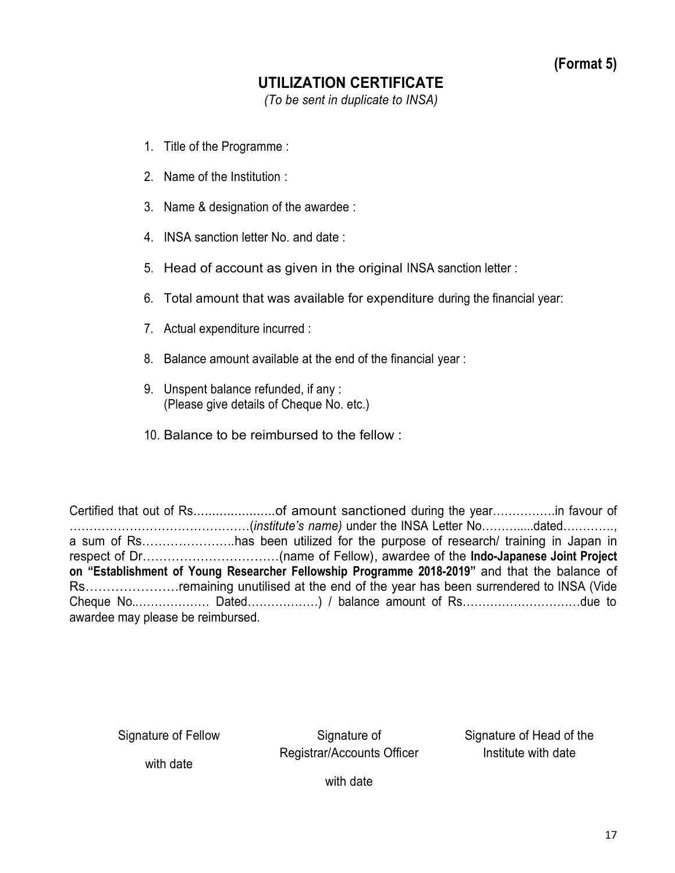### **UTILIZATION CERTIFICATE**

*(To be sent in duplicate to INSA)*

- 1. Title of the Programme :
- 2. Name of the Institution :
- 3. Name & designation of the awardee :
- 4. INSA sanction letter No. and date :
- 5. Head of account as given in the original INSA sanction letter :
- 6. Total amount that was available for expenditure during the financial year:
- 7. Actual expenditure incurred :
- 8. Balance amount available at the end of the financial year :
- 9. Unspent balance refunded, if any : (Please give details of Cheque No. etc.)
- 10. Balance to be reimbursed to the fellow :

Certified that out of Rs......................of amount sanctioned during the year…………….in favour of ………………………………………(*institute's name)* under the INSA Letter No……….....dated…………., a sum of Rs…………………..has been utilized for the purpose of research/ training in Japan in respect of Dr……………………………(name of Fellow), awardee of the **Indo-Japanese Joint Project on "Establishment of Young Researcher Fellowship Programme 2018-2019"** and that the balance of Rs………………….remaining unutilised at the end of the year has been surrendered to INSA (Vide Cheque No..……………… Dated………………) / balance amount of Rs…………………………due to awardee may please be reimbursed.

Signature of Fellow

Signature of Registrar/Accounts Officer Signature of Head of the Institute with date

with date

with date